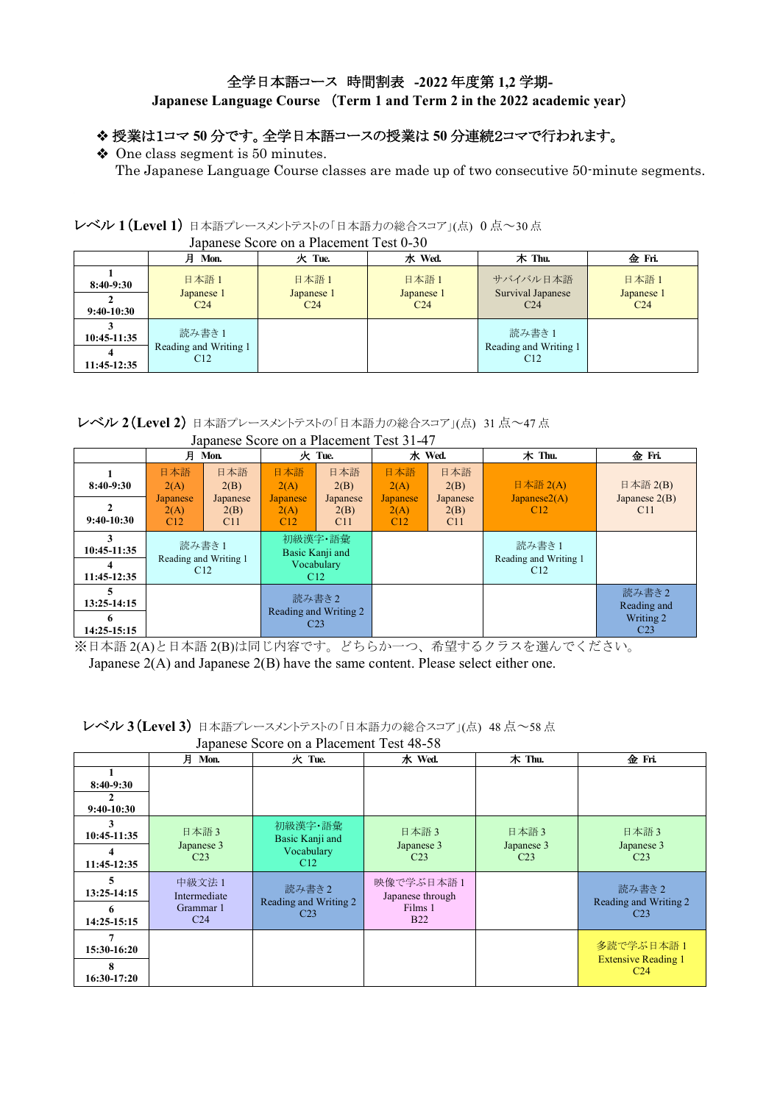## 全学日本語コース 時間割表 **-2022** 年度第 **1,2** 学期**-**

# **Japanese Language Course** (**Term 1 and Term 2 in the 2022 academic year**)

### 授業は1コマ **50** 分です。全学日本語コースの授業は **50** 分連続2コマで行われます。

◆ One class segment is 50 minutes.

The Japanese Language Course classes are made up of two consecutive 50-minute segments.

### レベル **1**(**Level 1**) 日本語プレースメントテストの「日本語力の総合スコア」(点) 0 点~30 点

|                             | vapanose seone on a racement rest o so            |                                       |                                       |                                                   |                                       |  |  |  |
|-----------------------------|---------------------------------------------------|---------------------------------------|---------------------------------------|---------------------------------------------------|---------------------------------------|--|--|--|
|                             | 月 Mon.                                            | 火 Tue.                                | 水 Wed.                                | 木 Thu.                                            | 金 Fri.                                |  |  |  |
| $8:40-9:30$<br>$9:40-10:30$ | 日本語1<br>Japanese 1<br>C <sub>24</sub>             | 日本語1<br>Japanese 1<br>C <sub>24</sub> | 日本語1<br>Japanese 1<br>C <sub>24</sub> | サバイバル日本語<br>Survival Japanese<br>C <sub>24</sub>  | 日本語1<br>Japanese 1<br>C <sub>24</sub> |  |  |  |
| 10:45-11:35<br>11:45-12:35  | 読み書き1<br>Reading and Writing 1<br>C <sub>12</sub> |                                       |                                       | 読み書き1<br>Reading and Writing 1<br>C <sub>12</sub> |                                       |  |  |  |

### Japanese Score on a Placement Test 0-30

レベル **2**(**Level 2**) 日本語プレースメントテストの「日本語力の総合スコア」(点) 31 点~47 点

|                                      | 月                                      | Mon.                                   |                                        | 火 Tue.                                            |                                        | 水 Wed.                                 | 木 Thu.                                        | 金 Fri.                                               |
|--------------------------------------|----------------------------------------|----------------------------------------|----------------------------------------|---------------------------------------------------|----------------------------------------|----------------------------------------|-----------------------------------------------|------------------------------------------------------|
| $8:40-9:30$<br>$9:40-10:30$          | 日本語<br>2(A)<br>Japanese<br>2(A)<br>C12 | 日本語<br>2(B)<br>Japanese<br>2(B)<br>C11 | 日本語<br>2(A)<br>Japanese<br>2(A)<br>C12 | 日本語<br>2(B)<br>Japanese<br>2(B)<br>C11            | 日本語<br>2(A)<br>Japanese<br>2(A)<br>C12 | 日本語<br>2(B)<br>Japanese<br>2(B)<br>C11 | 日本語 $2(A)$<br>Japanese2(A)<br>C <sub>12</sub> | 日本語 2(B)<br>Japanese $2(B)$<br>C <sub>11</sub>       |
| 3<br>10:45-11:35<br>4<br>11:45-12:35 |                                        | 読み書き1<br>Reading and Writing 1<br>C12  |                                        | 初級漢字·語彙<br>Basic Kanji and<br>Vocabulary<br>C12   |                                        |                                        | 読み書き1<br>Reading and Writing 1<br>C12         |                                                      |
| 5<br>13:25-14:15<br>6<br>14:25-15:15 |                                        |                                        |                                        | 読み書き2<br>Reading and Writing 2<br>C <sub>23</sub> |                                        |                                        |                                               | 読み書き2<br>Reading and<br>Writing 2<br>C <sub>23</sub> |

#### Japanese Score on a Placement Test 31-47

※日本語 2(A)と日本語 2(B)は同じ内容です。どちらか一つ、希望するクラスを選んでください。

Japanese 2(A) and Japanese 2(B) have the same content. Please select either one.

|                                      | 月<br>Mon.                                              | 火 Tue.                                            | 水 Wed.                                                 | 木 Thu.                                | 金Fri.                                                      |
|--------------------------------------|--------------------------------------------------------|---------------------------------------------------|--------------------------------------------------------|---------------------------------------|------------------------------------------------------------|
| $8:40-9:30$<br>$9:40-10:30$          |                                                        |                                                   |                                                        |                                       |                                                            |
| 3<br>10:45-11:35<br>4<br>11:45-12:35 | 日本語3<br>Japanese 3<br>C <sub>23</sub>                  | 初級漢字·語彙<br>Basic Kanji and<br>Vocabulary<br>C12   | 日本語3<br>Japanese 3<br>C <sub>23</sub>                  | 日本語3<br>Japanese 3<br>C <sub>23</sub> | 日本語3<br>Japanese 3<br>C <sub>23</sub>                      |
| 5<br>13:25-14:15<br>6<br>14:25-15:15 | 中級文法 1<br>Intermediate<br>Grammar 1<br>C <sub>24</sub> | 読み書き2<br>Reading and Writing 2<br>C <sub>23</sub> | 映像で学ぶ日本語1<br>Japanese through<br>Films 1<br><b>B22</b> |                                       | 読み書き2<br>Reading and Writing 2<br>C <sub>23</sub>          |
| 7<br>15:30-16:20<br>8<br>16:30-17:20 |                                                        |                                                   |                                                        |                                       | 多読で学ぶ日本語1<br><b>Extensive Reading 1</b><br>C <sub>24</sub> |

 レベル **3**(**Level 3**) 日本語プレースメントテストの「日本語力の総合スコア」(点) 48 点~58 点 Japanese Score on a Placement Test 48-58